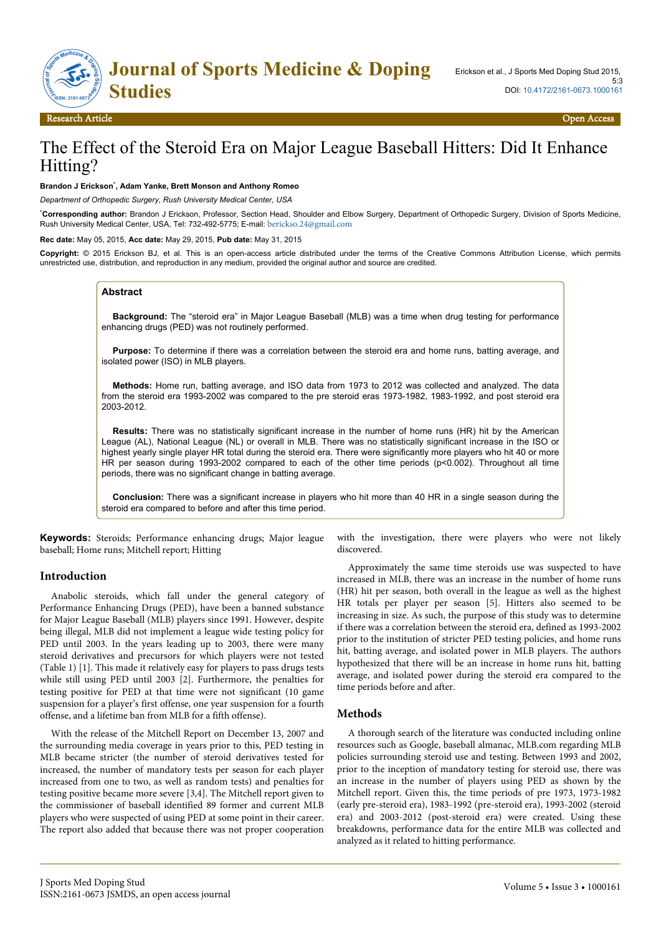

Research Article Open Access

# The Effect of the Steroid Era on Major League Baseball Hitters: Did It Enhance Hitting?

#### **Brandon J Erickson**\* **, Adam Yanke, Brett Monson and Anthony Romeo**

*Department of Orthopedic Surgery, Rush University Medical Center, USA*

\***Corresponding author:** Brandon J Erickson, Professor, Section Head, Shoulder and Elbow Surgery, Department of Orthopedic Surgery, Division of Sports Medicine, Rush University Medical Center, USA, Tel: 732-492-5775; E-mail: [berickso.24@gmail.com](mailto:berickso.24@gmail.com)

**Rec date:** May 05, 2015, **Acc date:** May 29, 2015, **Pub date:** May 31, 2015

**Copyright:** © 2015 Erickson BJ, et al. This is an open-access article distributed under the terms of the Creative Commons Attribution License, which permits unrestricted use, distribution, and reproduction in any medium, provided the original author and source are credited.

#### **Abstract**

**Background:** The "steroid era" in Major League Baseball (MLB) was a time when drug testing for performance enhancing drugs (PED) was not routinely performed.

**Purpose:** To determine if there was a correlation between the steroid era and home runs, batting average, and isolated power (ISO) in MLB players.

**Methods:** Home run, batting average, and ISO data from 1973 to 2012 was collected and analyzed. The data from the steroid era 1993-2002 was compared to the pre steroid eras 1973-1982, 1983-1992, and post steroid era 2003-2012.

**Results:** There was no statistically significant increase in the number of home runs (HR) hit by the American League (AL), National League (NL) or overall in MLB. There was no statistically significant increase in the ISO or highest yearly single player HR total during the steroid era. There were significantly more players who hit 40 or more HR per season during 1993-2002 compared to each of the other time periods (p<0.002). Throughout all time periods, there was no significant change in batting average.

**Conclusion:** There was a significant increase in players who hit more than 40 HR in a single season during the steroid era compared to before and after this time period.

**Keywords:** Steroids; Performance enhancing drugs; Major league baseball; Home runs; Mitchell report; Hitting

#### **Introduction**

Anabolic steroids, which fall under the general category of Performance Enhancing Drugs (PED), have been a banned substance for Major League Baseball (MLB) players since 1991. However, despite being illegal, MLB did not implement a league wide testing policy for PED until 2003. In the years leading up to 2003, there were many steroid derivatives and precursors for which players were not tested (Table 1) [1]. This made it relatively easy for players to pass drugs tests while still using PED until 2003 [2]. Furthermore, the penalties for testing positive for PED at that time were not significant (10 game suspension for a player's first offense, one year suspension for a fourth offense, and a lifetime ban from MLB for a fifth offense).

With the release of the Mitchell Report on December 13, 2007 and the surrounding media coverage in years prior to this, PED testing in MLB became stricter (the number of steroid derivatives tested for increased, the number of mandatory tests per season for each player increased from one to two, as well as random tests) and penalties for testing positive became more severe [3,4]. The Mitchell report given to the commissioner of baseball identified 89 former and current MLB players who were suspected of using PED at some point in their career. The report also added that because there was not proper cooperation

with the investigation, there were players who were not likely discovered.

Approximately the same time steroids use was suspected to have increased in MLB, there was an increase in the number of home runs (HR) hit per season, both overall in the league as well as the highest HR totals per player per season [5]. Hitters also seemed to be increasing in size. As such, the purpose of this study was to determine if there was a correlation between the steroid era, defined as 1993-2002 prior to the institution of stricter PED testing policies, and home runs hit, batting average, and isolated power in MLB players. The authors hypothesized that there will be an increase in home runs hit, batting average, and isolated power during the steroid era compared to the time periods before and after.

#### **Methods**

A thorough search of the literature was conducted including online resources such as Google, baseball almanac, MLB.com regarding MLB policies surrounding steroid use and testing. Between 1993 and 2002, prior to the inception of mandatory testing for steroid use, there was an increase in the number of players using PED as shown by the Mitchell report. Given this, the time periods of pre 1973, 1973-1982 (early pre-steroid era), 1983-1992 (pre-steroid era), 1993-2002 (steroid era) and 2003-2012 (post-steroid era) were created. Using these breakdowns, performance data for the entire MLB was collected and analyzed as it related to hitting performance.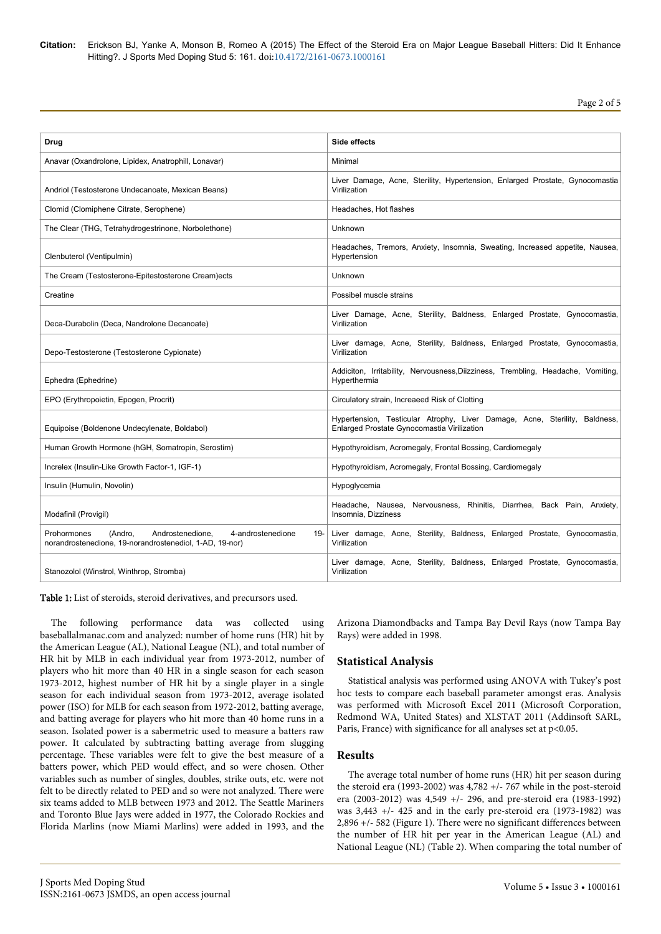**Citation:** Erickson BJ, Yanke A, Monson B, Romeo A (2015) The Effect of the Steroid Era on Major League Baseball Hitters: Did It Enhance Hitting?. J Sports Med Doping Stud 5: 161. doi:10.4172/2161-0673.1000161

| Drug                                                                                                                              | Side effects                                                                                                              |  |  |
|-----------------------------------------------------------------------------------------------------------------------------------|---------------------------------------------------------------------------------------------------------------------------|--|--|
| Anavar (Oxandrolone, Lipidex, Anatrophill, Lonavar)                                                                               | Minimal                                                                                                                   |  |  |
| Andriol (Testosterone Undecanoate, Mexican Beans)                                                                                 | Liver Damage, Acne, Sterility, Hypertension, Enlarged Prostate, Gynocomastia<br>Virilization                              |  |  |
| Clomid (Clomiphene Citrate, Serophene)                                                                                            | Headaches, Hot flashes                                                                                                    |  |  |
| The Clear (THG, Tetrahydrogestrinone, Norbolethone)                                                                               | Unknown                                                                                                                   |  |  |
| Clenbuterol (Ventipulmin)                                                                                                         | Headaches, Tremors, Anxiety, Insomnia, Sweating, Increased appetite, Nausea,<br>Hypertension                              |  |  |
| The Cream (Testosterone-Epitestosterone Cream)ects                                                                                | Unknown                                                                                                                   |  |  |
| Creatine                                                                                                                          | Possibel muscle strains                                                                                                   |  |  |
| Deca-Durabolin (Deca, Nandrolone Decanoate)                                                                                       | Liver Damage, Acne, Sterility, Baldness, Enlarged Prostate, Gynocomastia,<br>Virilization                                 |  |  |
| Depo-Testosterone (Testosterone Cypionate)                                                                                        | Liver damage, Acne, Sterility, Baldness, Enlarged Prostate, Gynocomastia,<br>Virilization                                 |  |  |
| Ephedra (Ephedrine)                                                                                                               | Addiciton, Irritability, Nervousness, Diizziness, Trembling, Headache, Vomiting,<br>Hyperthermia                          |  |  |
| EPO (Erythropoietin, Epogen, Procrit)                                                                                             | Circulatory strain, Increaeed Risk of Clotting                                                                            |  |  |
| Equipoise (Boldenone Undecylenate, Boldabol)                                                                                      | Hypertension, Testicular Atrophy, Liver Damage, Acne, Sterility, Baldness,<br>Enlarged Prostate Gynocomastia Virilization |  |  |
| Human Growth Hormone (hGH, Somatropin, Serostim)                                                                                  | Hypothyroidism, Acromegaly, Frontal Bossing, Cardiomegaly                                                                 |  |  |
| Increlex (Insulin-Like Growth Factor-1, IGF-1)                                                                                    | Hypothyroidism, Acromegaly, Frontal Bossing, Cardiomegaly                                                                 |  |  |
| Insulin (Humulin, Novolin)                                                                                                        | Hypoglycemia                                                                                                              |  |  |
| Modafinil (Provigil)                                                                                                              | Headache, Nausea,<br>Nervousness, Rhinitis, Diarrhea, Back Pain, Anxiety,<br>Insomnia, Dizziness                          |  |  |
| 4-androstenedione<br>Prohormones<br>(Andro,<br>Androstenedione,<br>19-<br>norandrostenedione, 19-norandrostenediol, 1-AD, 19-nor) | Liver damage, Acne, Sterility, Baldness, Enlarged Prostate, Gynocomastia,<br>Virilization                                 |  |  |
| Stanozolol (Winstrol, Winthrop, Stromba)                                                                                          | Liver damage, Acne, Sterility, Baldness, Enlarged Prostate, Gynocomastia,<br>Virilization                                 |  |  |

Table 1: List of steroids, steroid derivatives, and precursors used.

The following performance data was collected using baseballalmanac.com and analyzed: number of home runs (HR) hit by the American League (AL), National League (NL), and total number of HR hit by MLB in each individual year from 1973-2012, number of players who hit more than 40 HR in a single season for each season 1973-2012, highest number of HR hit by a single player in a single season for each individual season from 1973-2012, average isolated power (ISO) for MLB for each season from 1972-2012, batting average, and batting average for players who hit more than 40 home runs in a season. Isolated power is a sabermetric used to measure a batters raw power. It calculated by subtracting batting average from slugging percentage. These variables were felt to give the best measure of a batters power, which PED would effect, and so were chosen. Other variables such as number of singles, doubles, strike outs, etc. were not felt to be directly related to PED and so were not analyzed. There were six teams added to MLB between 1973 and 2012. The Seattle Mariners and Toronto Blue Jays were added in 1977, the Colorado Rockies and Florida Marlins (now Miami Marlins) were added in 1993, and the Arizona Diamondbacks and Tampa Bay Devil Rays (now Tampa Bay Rays) were added in 1998.

### **Statistical Analysis**

Statistical analysis was performed using ANOVA with Tukey's post hoc tests to compare each baseball parameter amongst eras. Analysis was performed with Microsoft Excel 2011 (Microsoft Corporation, Redmond WA, United States) and XLSTAT 2011 (Addinsoft SARL, Paris, France) with significance for all analyses set at  $p<0.05$ .

#### **Results**

The average total number of home runs (HR) hit per season during the steroid era (1993-2002) was 4,782 +/- 767 while in the post-steroid era (2003-2012) was 4,549 +/- 296, and pre-steroid era (1983-1992) was 3,443 +/- 425 and in the early pre-steroid era (1973-1982) was 2,896 +/- 582 (Figure 1). There were no significant differences between the number of HR hit per year in the American League (AL) and National League (NL) (Table 2). When comparing the total number of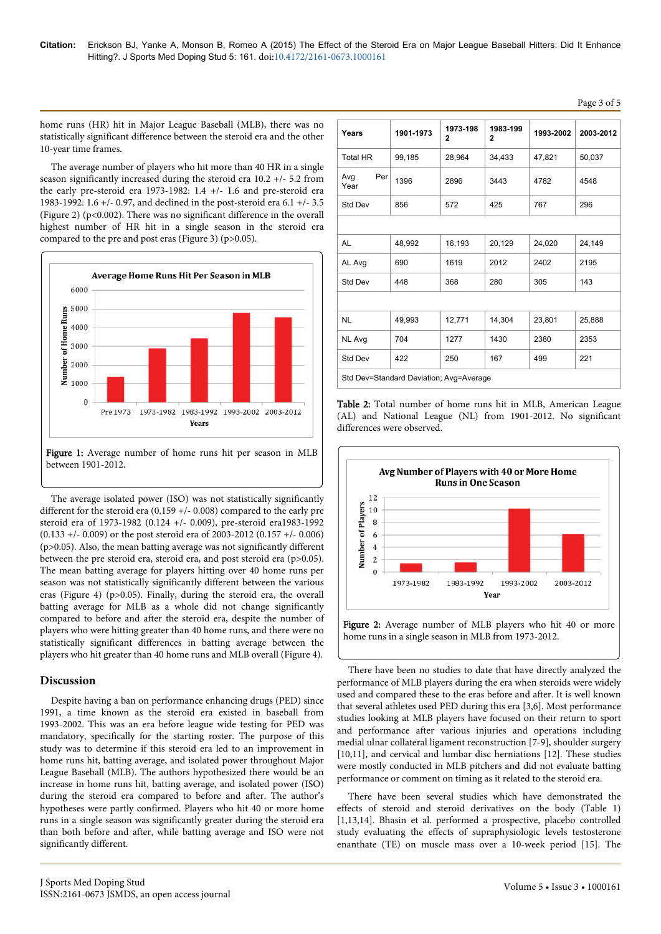home runs (HR) hit in Major League Baseball (MLB), there was no statistically significant difference between the steroid era and the other 10-year time frames.

The average number of players who hit more than 40 HR in a single season significantly increased during the steroid era 10.2 +/- 5.2 from the early pre-steroid era 1973-1982: 1.4 +/- 1.6 and pre-steroid era 1983-1992: 1.6 +/- 0.97, and declined in the post-steroid era 6.1 +/- 3.5 (Figure 2) ( $p$ <0.002). There was no significant difference in the overall highest number of HR hit in a single season in the steroid era compared to the pre and post eras (Figure 3) (p>0.05).



Figure 1: Average number of home runs hit per season in MLB between 1901-2012.

The average isolated power (ISO) was not statistically significantly different for the steroid era (0.159 +/- 0.008) compared to the early pre steroid era of 1973-1982 (0.124 +/- 0.009), pre-steroid era1983-1992 (0.133 +/- 0.009) or the post steroid era of 2003-2012 (0.157 +/- 0.006) (p>0.05). Also, the mean batting average was not significantly different between the pre steroid era, steroid era, and post steroid era (p>0.05). The mean batting average for players hitting over 40 home runs per season was not statistically significantly different between the various eras (Figure 4) (p>0.05). Finally, during the steroid era, the overall batting average for MLB as a whole did not change significantly compared to before and after the steroid era, despite the number of players who were hitting greater than 40 home runs, and there were no statistically significant differences in batting average between the players who hit greater than 40 home runs and MLB overall (Figure 4).

## **Discussion**

Despite having a ban on performance enhancing drugs (PED) since 1991, a time known as the steroid era existed in baseball from 1993-2002. This was an era before league wide testing for PED was mandatory, specifically for the starting roster. The purpose of this study was to determine if this steroid era led to an improvement in home runs hit, batting average, and isolated power throughout Major League Baseball (MLB). The authors hypothesized there would be an increase in home runs hit, batting average, and isolated power (ISO) during the steroid era compared to before and after. The author's hypotheses were partly confirmed. Players who hit 40 or more home runs in a single season was significantly greater during the steroid era than both before and after, while batting average and ISO were not significantly different.

| Years                                   | 1901-1973 | 1973-198<br>$\mathbf{2}$ | 1983-199<br>$\mathbf{2}$ | 1993-2002 | 2003-2012 |  |
|-----------------------------------------|-----------|--------------------------|--------------------------|-----------|-----------|--|
| <b>Total HR</b>                         | 99,185    | 28,964                   | 34,433                   | 47,821    | 50,037    |  |
| Per<br>Avg<br>Year                      | 1396      | 2896                     | 3443                     | 4782      | 4548      |  |
| Std Dev                                 | 856       | 572                      | 425                      | 767       | 296       |  |
|                                         |           |                          |                          |           |           |  |
| AL                                      | 48,992    | 16,193                   | 20,129                   | 24,020    | 24,149    |  |
| AL Avg                                  | 690       | 1619                     | 2012                     | 2402      | 2195      |  |
| Std Dev                                 | 448       | 368                      | 280                      | 305       | 143       |  |
|                                         |           |                          |                          |           |           |  |
| <b>NL</b>                               | 49,993    | 12,771                   | 14,304                   | 23,801    | 25,888    |  |
| NL Avg                                  | 704       | 1277                     | 1430                     | 2380      | 2353      |  |
| Std Dev                                 | 422       | 250                      | 167                      | 499       | 221       |  |
| Std Dev=Standard Deviation; Avg=Average |           |                          |                          |           |           |  |

Table 2: Total number of home runs hit in MLB, American League (AL) and National League (NL) from 1901-2012. No significant differences were observed.



There have been no studies to date that have directly analyzed the performance of MLB players during the era when steroids were widely used and compared these to the eras before and after. It is well known that several athletes used PED during this era [3,6]. Most performance studies looking at MLB players have focused on their return to sport and performance after various injuries and operations including medial ulnar collateral ligament reconstruction [7-9], shoulder surgery [10,11], and cervical and lumbar disc herniations [12]. These studies were mostly conducted in MLB pitchers and did not evaluate batting performance or comment on timing as it related to the steroid era.

There have been several studies which have demonstrated the effects of steroid and steroid derivatives on the body (Table 1) [1,13,14]. Bhasin et al. performed a prospective, placebo controlled study evaluating the effects of supraphysiologic levels testosterone enanthate (TE) on muscle mass over a 10-week period [15]. The

Page 3 of 5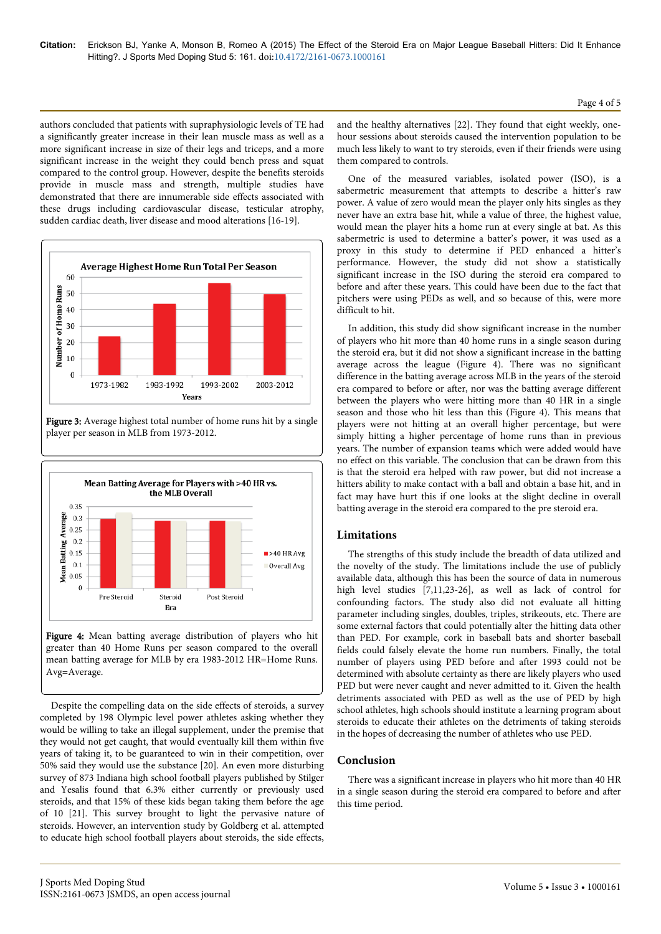authors concluded that patients with supraphysiologic levels of TE had a significantly greater increase in their lean muscle mass as well as a more significant increase in size of their legs and triceps, and a more significant increase in the weight they could bench press and squat compared to the control group. However, despite the benefits steroids provide in muscle mass and strength, multiple studies have demonstrated that there are innumerable side effects associated with these drugs including cardiovascular disease, testicular atrophy, sudden cardiac death, liver disease and mood alterations [16-19].



Figure 3: Average highest total number of home runs hit by a single player per season in MLB from 1973-2012.



Figure 4: Mean batting average distribution of players who hit greater than 40 Home Runs per season compared to the overall mean batting average for MLB by era 1983-2012 HR=Home Runs. Avg=Average.

Despite the compelling data on the side effects of steroids, a survey completed by 198 Olympic level power athletes asking whether they would be willing to take an illegal supplement, under the premise that they would not get caught, that would eventually kill them within five years of taking it, to be guaranteed to win in their competition, over 50% said they would use the substance [20]. An even more disturbing survey of 873 Indiana high school football players published by Stilger and Yesalis found that 6.3% either currently or previously used steroids, and that 15% of these kids began taking them before the age of 10 [21]. This survey brought to light the pervasive nature of steroids. However, an intervention study by Goldberg et al. attempted to educate high school football players about steroids, the side effects, and the healthy alternatives [22]. They found that eight weekly, onehour sessions about steroids caused the intervention population to be much less likely to want to try steroids, even if their friends were using them compared to controls.

One of the measured variables, isolated power (ISO), is a sabermetric measurement that attempts to describe a hitter's raw power. A value of zero would mean the player only hits singles as they never have an extra base hit, while a value of three, the highest value, would mean the player hits a home run at every single at bat. As this sabermetric is used to determine a batter's power, it was used as a proxy in this study to determine if PED enhanced a hitter's performance. However, the study did not show a statistically significant increase in the ISO during the steroid era compared to before and after these years. This could have been due to the fact that pitchers were using PEDs as well, and so because of this, were more difficult to hit.

In addition, this study did show significant increase in the number of players who hit more than 40 home runs in a single season during the steroid era, but it did not show a significant increase in the batting average across the league (Figure 4). There was no significant difference in the batting average across MLB in the years of the steroid era compared to before or after, nor was the batting average different between the players who were hitting more than 40 HR in a single season and those who hit less than this (Figure 4). This means that players were not hitting at an overall higher percentage, but were simply hitting a higher percentage of home runs than in previous years. The number of expansion teams which were added would have no effect on this variable. The conclusion that can be drawn from this is that the steroid era helped with raw power, but did not increase a hitters ability to make contact with a ball and obtain a base hit, and in fact may have hurt this if one looks at the slight decline in overall batting average in the steroid era compared to the pre steroid era.

## **Limitations**

The strengths of this study include the breadth of data utilized and the novelty of the study. The limitations include the use of publicly available data, although this has been the source of data in numerous high level studies [7,11,23-26], as well as lack of control for confounding factors. The study also did not evaluate all hitting parameter including singles, doubles, triples, strikeouts, etc. There are some external factors that could potentially alter the hitting data other than PED. For example, cork in baseball bats and shorter baseball fields could falsely elevate the home run numbers. Finally, the total number of players using PED before and after 1993 could not be determined with absolute certainty as there are likely players who used PED but were never caught and never admitted to it. Given the health detriments associated with PED as well as the use of PED by high school athletes, high schools should institute a learning program about steroids to educate their athletes on the detriments of taking steroids in the hopes of decreasing the number of athletes who use PED.

### **Conclusion**

There was a significant increase in players who hit more than 40 HR in a single season during the steroid era compared to before and after this time period.